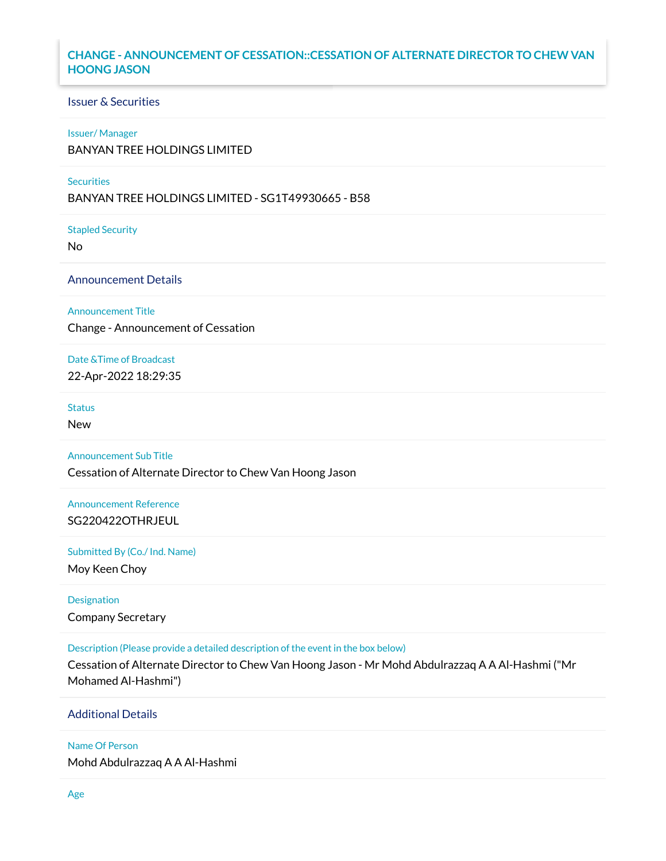## **CHANGE - ANNOUNCEMENT OF CESSATION::CESSATION OF ALTERNATE DIRECTOR TO CHEW VAN HOONG JASON**

# Issuer & Securities

#### Issuer/ Manager

BANYAN TREE HOLDINGS LIMITED

#### **Securities**

BANYAN TREE HOLDINGS LIMITED - SG1T49930665 - B58

Stapled Security

No

Announcement Details

Announcement Title

Change - Announcement of Cessation

Date &Time of Broadcast

22-Apr-2022 18:29:35

**Status** 

New

Announcement Sub Title

Cessation of Alternate Director to Chew Van Hoong Jason

Announcement Reference SG220422OTHRJEUL

Submitted By (Co./ Ind. Name)

Moy Keen Choy

Designation Company Secretary

Description (Please provide a detailed description of the event in the box below)

Cessation of Alternate Director to Chew Van Hoong Jason - Mr Mohd Abdulrazzaq A A Al-Hashmi ("Mr Mohamed Al-Hashmi")

Additional Details

Name Of Person

Mohd Abdulrazzaq A A Al-Hashmi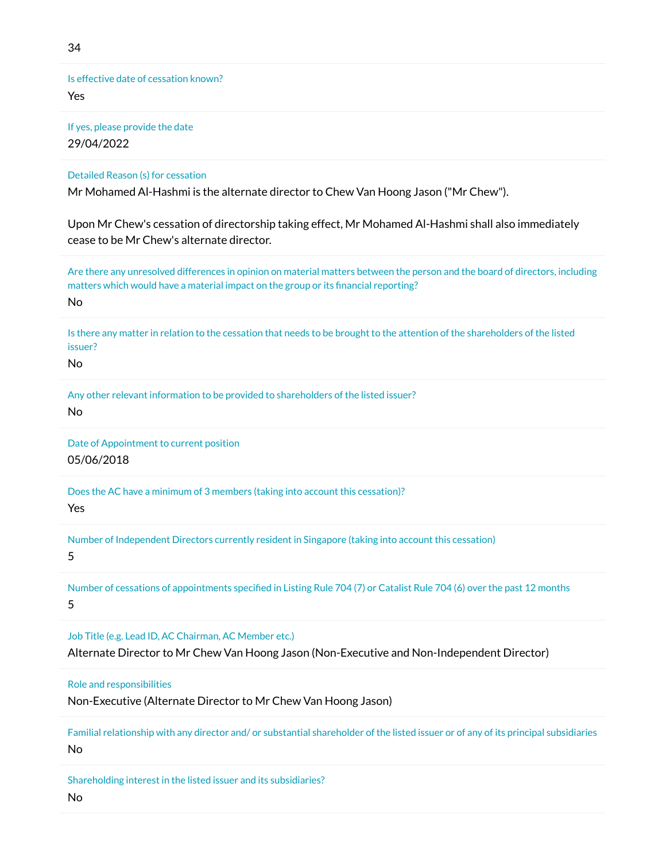Is effective date of cessation known? Yes

If yes, please provide the date 29/04/2022

Detailed Reason (s) for cessation

Mr Mohamed Al-Hashmi is the alternate director to Chew Van Hoong Jason ("Mr Chew").

Upon Mr Chew's cessation of directorship taking effect, Mr Mohamed Al-Hashmi shall also immediately cease to be Mr Chew's alternate director.

Are there any unresolved differences in opinion on material matters between the person and the board of directors, including matters which would have a material impact on the group or its financial reporting? No

Is there any matter in relation to the cessation that needs to be brought to the attention of the shareholders of the listed issuer?

No

Any other relevant information to be provided to shareholders of the listed issuer? No

Date of Appointment to current position 05/06/2018

Does the AC have a minimum of 3 members (taking into account this cessation)?

Yes

Number of Independent Directors currently resident in Singapore (taking into account this cessation)

5

Number of cessations of appointments specified in Listing Rule 704 (7) or Catalist Rule 704 (6) over the past 12 months 5

Job Title (e.g. Lead ID, AC Chairman, AC Member etc.)

Alternate Director to Mr Chew Van Hoong Jason (Non-Executive and Non-Independent Director)

Role and responsibilities

Non-Executive (Alternate Director to Mr Chew Van Hoong Jason)

Familial relationship with any director and/ or substantial shareholder of the listed issuer or of any of its principal subsidiaries No

Shareholding interest in the listed issuer and its subsidiaries?

No